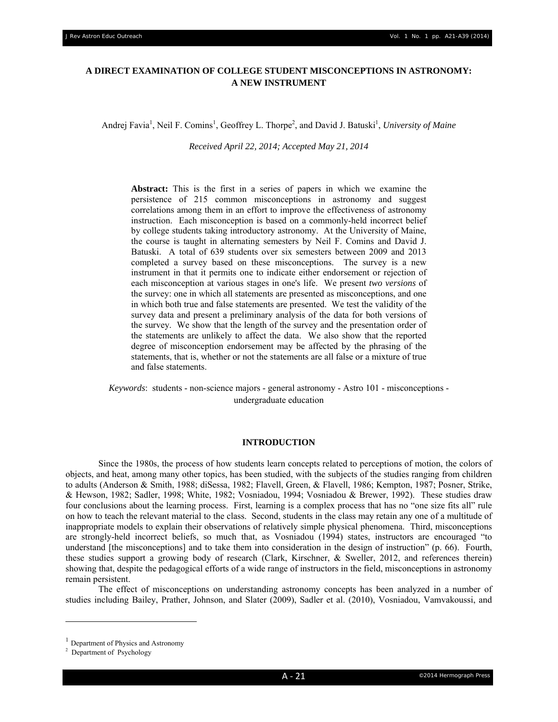# **A DIRECT EXAMINATION OF COLLEGE STUDENT MISCONCEPTIONS IN ASTRONOMY: A NEW INSTRUMENT**

Andrej Favia<sup>1</sup>, Neil F. Comins<sup>1</sup>, Geoffrey L. Thorpe<sup>2</sup>, and David J. Batuski<sup>1</sup>, University of Maine

*Received April 22, 2014; Accepted May 21, 2014* 

**Abstract:** This is the first in a series of papers in which we examine the persistence of 215 common misconceptions in astronomy and suggest correlations among them in an effort to improve the effectiveness of astronomy instruction. Each misconception is based on a commonly-held incorrect belief by college students taking introductory astronomy. At the University of Maine, the course is taught in alternating semesters by Neil F. Comins and David J. Batuski. A total of 639 students over six semesters between 2009 and 2013 completed a survey based on these misconceptions. The survey is a new instrument in that it permits one to indicate either endorsement or rejection of each misconception at various stages in one's life. We present *two versions* of the survey: one in which all statements are presented as misconceptions, and one in which both true and false statements are presented. We test the validity of the survey data and present a preliminary analysis of the data for both versions of the survey. We show that the length of the survey and the presentation order of the statements are unlikely to affect the data. We also show that the reported degree of misconception endorsement may be affected by the phrasing of the statements, that is, whether or not the statements are all false or a mixture of true and false statements.

*Keywords*: students - non-science majors - general astronomy - Astro 101 - misconceptions undergraduate education

#### **INTRODUCTION**

 Since the 1980s, the process of how students learn concepts related to perceptions of motion, the colors of objects, and heat, among many other topics, has been studied, with the subjects of the studies ranging from children to adults (Anderson & Smith, 1988; diSessa, 1982; Flavell, Green, & Flavell, 1986; Kempton, 1987; Posner, Strike, & Hewson, 1982; Sadler, 1998; White, 1982; Vosniadou, 1994; Vosniadou & Brewer, 1992). These studies draw four conclusions about the learning process. First, learning is a complex process that has no "one size fits all" rule on how to teach the relevant material to the class. Second, students in the class may retain any one of a multitude of inappropriate models to explain their observations of relatively simple physical phenomena. Third, misconceptions are strongly-held incorrect beliefs, so much that, as Vosniadou (1994) states, instructors are encouraged "to understand [the misconceptions] and to take them into consideration in the design of instruction" (p. 66). Fourth, these studies support a growing body of research (Clark, Kirschner, & Sweller, 2012, and references therein) showing that, despite the pedagogical efforts of a wide range of instructors in the field, misconceptions in astronomy remain persistent.

The effect of misconceptions on understanding astronomy concepts has been analyzed in a number of studies including Bailey, Prather, Johnson, and Slater (2009), Sadler et al. (2010), Vosniadou, Vamvakoussi, and

<sup>&</sup>lt;sup>1</sup> Department of Physics and Astronomy

<sup>&</sup>lt;sup>2</sup> Department of Psychology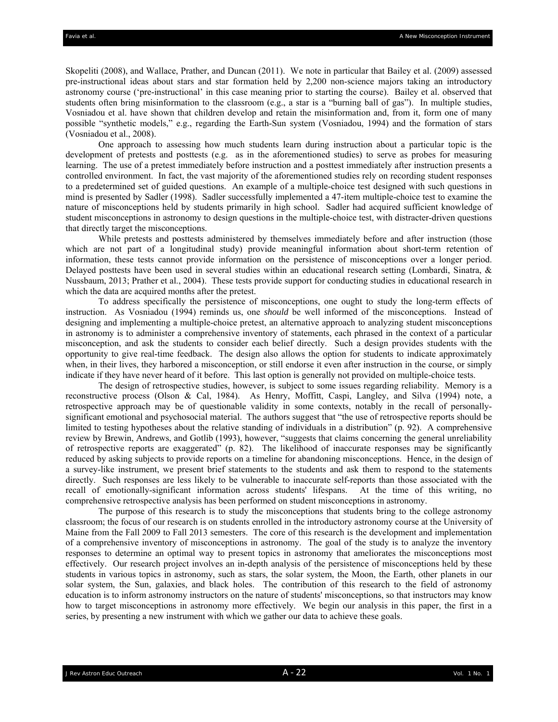Skopeliti (2008), and Wallace, Prather, and Duncan (2011). We note in particular that Bailey et al. (2009) assessed pre-instructional ideas about stars and star formation held by 2,200 non-science majors taking an introductory astronomy course ('pre-instructional' in this case meaning prior to starting the course). Bailey et al. observed that students often bring misinformation to the classroom (e.g., a star is a "burning ball of gas"). In multiple studies, Vosniadou et al. have shown that children develop and retain the misinformation and, from it, form one of many possible "synthetic models," e.g., regarding the Earth-Sun system (Vosniadou, 1994) and the formation of stars (Vosniadou et al., 2008).

One approach to assessing how much students learn during instruction about a particular topic is the development of pretests and posttests (e.g. as in the aforementioned studies) to serve as probes for measuring learning. The use of a pretest immediately before instruction and a posttest immediately after instruction presents a controlled environment. In fact, the vast majority of the aforementioned studies rely on recording student responses to a predetermined set of guided questions. An example of a multiple-choice test designed with such questions in mind is presented by Sadler (1998). Sadler successfully implemented a 47-item multiple-choice test to examine the nature of misconceptions held by students primarily in high school. Sadler had acquired sufficient knowledge of student misconceptions in astronomy to design questions in the multiple-choice test, with distracter-driven questions that directly target the misconceptions.

While pretests and posttests administered by themselves immediately before and after instruction (those which are not part of a longitudinal study) provide meaningful information about short-term retention of information, these tests cannot provide information on the persistence of misconceptions over a longer period. Delayed posttests have been used in several studies within an educational research setting (Lombardi, Sinatra, & Nussbaum, 2013; Prather et al., 2004). These tests provide support for conducting studies in educational research in which the data are acquired months after the pretest.

To address specifically the persistence of misconceptions, one ought to study the long-term effects of instruction. As Vosniadou (1994) reminds us, one *should* be well informed of the misconceptions. Instead of designing and implementing a multiple-choice pretest, an alternative approach to analyzing student misconceptions in astronomy is to administer a comprehensive inventory of statements, each phrased in the context of a particular misconception, and ask the students to consider each belief directly. Such a design provides students with the opportunity to give real-time feedback. The design also allows the option for students to indicate approximately when, in their lives, they harbored a misconception, or still endorse it even after instruction in the course, or simply indicate if they have never heard of it before. This last option is generally not provided on multiple-choice tests.

The design of retrospective studies, however, is subject to some issues regarding reliability. Memory is a reconstructive process (Olson & Cal, 1984). As Henry, Moffitt, Caspi, Langley, and Silva (1994) note, a retrospective approach may be of questionable validity in some contexts, notably in the recall of personallysignificant emotional and psychosocial material. The authors suggest that "the use of retrospective reports should be limited to testing hypotheses about the relative standing of individuals in a distribution" (p. 92). A comprehensive review by Brewin, Andrews, and Gotlib (1993), however, "suggests that claims concerning the general unreliability of retrospective reports are exaggerated" (p. 82). The likelihood of inaccurate responses may be significantly reduced by asking subjects to provide reports on a timeline for abandoning misconceptions. Hence, in the design of a survey-like instrument, we present brief statements to the students and ask them to respond to the statements directly. Such responses are less likely to be vulnerable to inaccurate self-reports than those associated with the recall of emotionally-significant information across students' lifespans. At the time of this writing, no comprehensive retrospective analysis has been performed on student misconceptions in astronomy.

The purpose of this research is to study the misconceptions that students bring to the college astronomy classroom; the focus of our research is on students enrolled in the introductory astronomy course at the University of Maine from the Fall 2009 to Fall 2013 semesters. The core of this research is the development and implementation of a comprehensive inventory of misconceptions in astronomy. The goal of the study is to analyze the inventory responses to determine an optimal way to present topics in astronomy that ameliorates the misconceptions most effectively. Our research project involves an in-depth analysis of the persistence of misconceptions held by these students in various topics in astronomy, such as stars, the solar system, the Moon, the Earth, other planets in our solar system, the Sun, galaxies, and black holes. The contribution of this research to the field of astronomy education is to inform astronomy instructors on the nature of students' misconceptions, so that instructors may know how to target misconceptions in astronomy more effectively. We begin our analysis in this paper, the first in a series, by presenting a new instrument with which we gather our data to achieve these goals.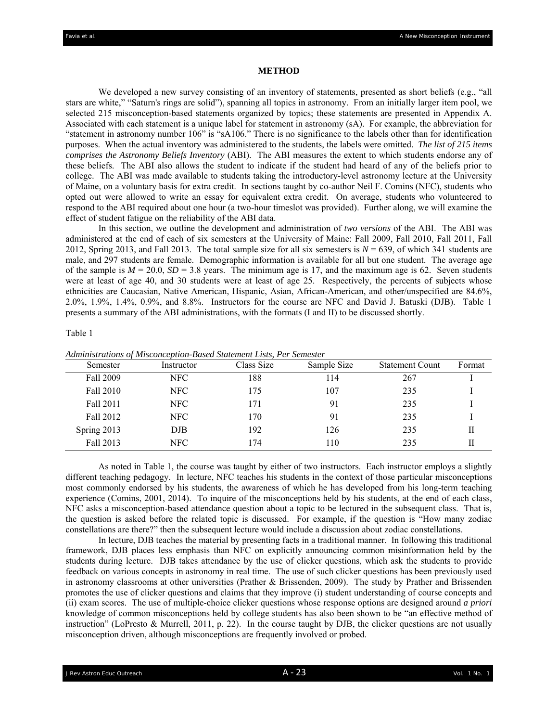#### **METHOD**

We developed a new survey consisting of an inventory of statements, presented as short beliefs (e.g., "all stars are white," "Saturn's rings are solid"), spanning all topics in astronomy. From an initially larger item pool, we selected 215 misconception-based statements organized by topics; these statements are presented in Appendix A. Associated with each statement is a unique label for statement in astronomy (sA). For example, the abbreviation for "statement in astronomy number 106" is "sA106." There is no significance to the labels other than for identification purposes. When the actual inventory was administered to the students, the labels were omitted. *The list of 215 items comprises the Astronomy Beliefs Inventory* (ABI). The ABI measures the extent to which students endorse any of these beliefs. The ABI also allows the student to indicate if the student had heard of any of the beliefs prior to college. The ABI was made available to students taking the introductory-level astronomy lecture at the University of Maine, on a voluntary basis for extra credit. In sections taught by co-author Neil F. Comins (NFC), students who opted out were allowed to write an essay for equivalent extra credit. On average, students who volunteered to respond to the ABI required about one hour (a two-hour timeslot was provided). Further along, we will examine the effect of student fatigue on the reliability of the ABI data.

In this section, we outline the development and administration of *two versions* of the ABI. The ABI was administered at the end of each of six semesters at the University of Maine: Fall 2009, Fall 2010, Fall 2011, Fall 2012, Spring 2013, and Fall 2013. The total sample size for all six semesters is *N* = 639, of which 341 students are male, and 297 students are female. Demographic information is available for all but one student. The average age of the sample is  $M = 20.0$ ,  $SD = 3.8$  years. The minimum age is 17, and the maximum age is 62. Seven students were at least of age 40, and 30 students were at least of age 25. Respectively, the percents of subjects whose ethnicities are Caucasian, Native American, Hispanic, Asian, African-American, and other/unspecified are 84.6%, 2.0%, 1.9%, 1.4%, 0.9%, and 8.8%. Instructors for the course are NFC and David J. Batuski (DJB). Table 1 presents a summary of the ABI administrations, with the formats (I and II) to be discussed shortly.

#### Table 1

| Semester    | Instructor | Class Size | Sample Size | <b>Statement Count</b> | Format |
|-------------|------------|------------|-------------|------------------------|--------|
| Fall 2009   | NFC.       | 188        | 114         | 267                    |        |
| Fall 2010   | NFC.       | 175        | 107         | 235                    |        |
| Fall 2011   | NFC.       | 171        | 91          | 235                    |        |
| Fall 2012   | NFC.       | 170        | 91          | 235                    |        |
| Spring 2013 | DJB        | 192        | 126         | 235                    | Н      |
| Fall 2013   | NFC.       | 74         | 110         | 235                    | Н      |

*Administrations of Misconception-Based Statement Lists, Per Semester* 

As noted in Table 1, the course was taught by either of two instructors. Each instructor employs a slightly different teaching pedagogy. In lecture, NFC teaches his students in the context of those particular misconceptions most commonly endorsed by his students, the awareness of which he has developed from his long-term teaching experience (Comins, 2001, 2014). To inquire of the misconceptions held by his students, at the end of each class, NFC asks a misconception-based attendance question about a topic to be lectured in the subsequent class. That is, the question is asked before the related topic is discussed. For example, if the question is "How many zodiac constellations are there?" then the subsequent lecture would include a discussion about zodiac constellations.

In lecture, DJB teaches the material by presenting facts in a traditional manner. In following this traditional framework, DJB places less emphasis than NFC on explicitly announcing common misinformation held by the students during lecture. DJB takes attendance by the use of clicker questions, which ask the students to provide feedback on various concepts in astronomy in real time. The use of such clicker questions has been previously used in astronomy classrooms at other universities (Prather & Brissenden, 2009). The study by Prather and Brissenden promotes the use of clicker questions and claims that they improve (i) student understanding of course concepts and (ii) exam scores. The use of multiple-choice clicker questions whose response options are designed around *a priori* knowledge of common misconceptions held by college students has also been shown to be "an effective method of instruction" (LoPresto & Murrell, 2011, p. 22). In the course taught by DJB, the clicker questions are not usually misconception driven, although misconceptions are frequently involved or probed.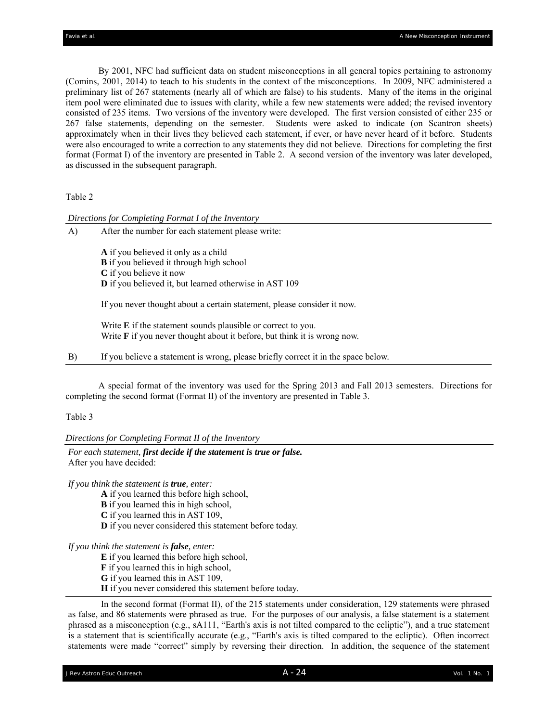By 2001, NFC had sufficient data on student misconceptions in all general topics pertaining to astronomy (Comins, 2001, 2014) to teach to his students in the context of the misconceptions. In 2009, NFC administered a preliminary list of 267 statements (nearly all of which are false) to his students. Many of the items in the original item pool were eliminated due to issues with clarity, while a few new statements were added; the revised inventory consisted of 235 items. Two versions of the inventory were developed. The first version consisted of either 235 or 267 false statements, depending on the semester. Students were asked to indicate (on Scantron sheets) approximately when in their lives they believed each statement, if ever, or have never heard of it before. Students were also encouraged to write a correction to any statements they did not believe. Directions for completing the first format (Format I) of the inventory are presented in Table 2. A second version of the inventory was later developed, as discussed in the subsequent paragraph.

Table 2

 *Directions for Completing Format I of the Inventory* 

| A) | After the number for each statement please write: |
|----|---------------------------------------------------|
|    | A if you believed it only as a child              |

**B** if you believed it through high school

**C** if you believe it now

**D** if you believed it, but learned otherwise in AST 109

If you never thought about a certain statement, please consider it now.

 Write **E** if the statement sounds plausible or correct to you. Write **F** if you never thought about it before, but think it is wrong now.

B) If you believe a statement is wrong, please briefly correct it in the space below.

A special format of the inventory was used for the Spring 2013 and Fall 2013 semesters. Directions for completing the second format (Format II) of the inventory are presented in Table 3.

Table 3

*Directions for Completing Format II of the Inventory* 

*For each statement, first decide if the statement is true or false.*  After you have decided:

*If you think the statement is true, enter:* 

**A** if you learned this before high school,

**B** if you learned this in high school,

**C** if you learned this in AST 109,

**D** if you never considered this statement before today.

*If you think the statement is false, enter:* 

**E** if you learned this before high school,

**F** if you learned this in high school,

**G** if you learned this in AST 109,

**H** if you never considered this statement before today.

In the second format (Format II), of the 215 statements under consideration, 129 statements were phrased as false, and 86 statements were phrased as true. For the purposes of our analysis, a false statement is a statement phrased as a misconception (e.g., sA111, "Earth's axis is not tilted compared to the ecliptic"), and a true statement is a statement that is scientifically accurate (e.g., "Earth's axis is tilted compared to the ecliptic). Often incorrect statements were made "correct" simply by reversing their direction. In addition, the sequence of the statement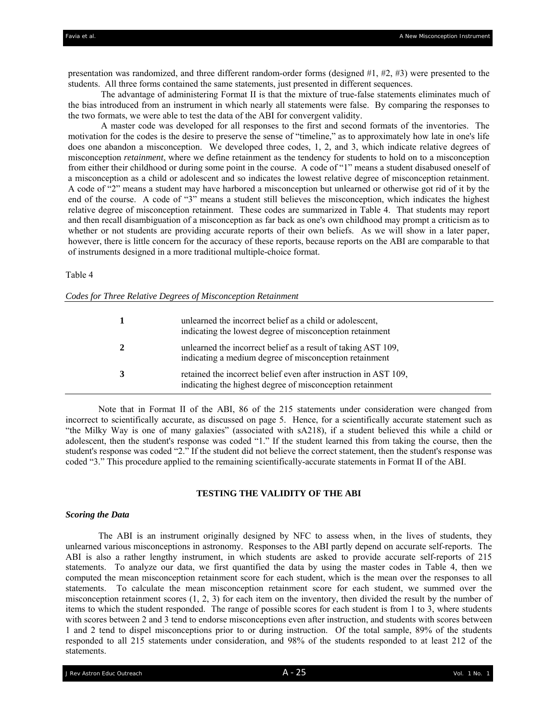presentation was randomized, and three different random-order forms (designed #1, #2, #3) were presented to the students. All three forms contained the same statements, just presented in different sequences.

The advantage of administering Format II is that the mixture of true-false statements eliminates much of the bias introduced from an instrument in which nearly all statements were false. By comparing the responses to the two formats, we were able to test the data of the ABI for convergent validity.

A master code was developed for all responses to the first and second formats of the inventories. The motivation for the codes is the desire to preserve the sense of "timeline," as to approximately how late in one's life does one abandon a misconception. We developed three codes, 1, 2, and 3, which indicate relative degrees of misconception *retainment*, where we define retainment as the tendency for students to hold on to a misconception from either their childhood or during some point in the course. A code of "1" means a student disabused oneself of a misconception as a child or adolescent and so indicates the lowest relative degree of misconception retainment. A code of "2" means a student may have harbored a misconception but unlearned or otherwise got rid of it by the end of the course. A code of "3" means a student still believes the misconception, which indicates the highest relative degree of misconception retainment. These codes are summarized in Table 4. That students may report and then recall disambiguation of a misconception as far back as one's own childhood may prompt a criticism as to whether or not students are providing accurate reports of their own beliefs. As we will show in a later paper, however, there is little concern for the accuracy of these reports, because reports on the ABI are comparable to that of instruments designed in a more traditional multiple-choice format.

Table 4

| Codes for Three Relative Degrees of Misconception Retainment |  |  |  |  |
|--------------------------------------------------------------|--|--|--|--|
|--------------------------------------------------------------|--|--|--|--|

|   | unlearned the incorrect belief as a child or adolescent,<br>indicating the lowest degree of misconception retainment          |
|---|-------------------------------------------------------------------------------------------------------------------------------|
| 2 | unlearned the incorrect belief as a result of taking AST 109,<br>indicating a medium degree of misconception retainment       |
| 3 | retained the incorrect belief even after instruction in AST 109,<br>indicating the highest degree of misconception retainment |

Note that in Format II of the ABI, 86 of the 215 statements under consideration were changed from incorrect to scientifically accurate, as discussed on page 5. Hence, for a scientifically accurate statement such as "the Milky Way is one of many galaxies" (associated with sA218), if a student believed this while a child or adolescent, then the student's response was coded "1." If the student learned this from taking the course, then the student's response was coded "2." If the student did not believe the correct statement, then the student's response was coded "3." This procedure applied to the remaining scientifically-accurate statements in Format II of the ABI.

### **TESTING THE VALIDITY OF THE ABI**

#### *Scoring the Data*

The ABI is an instrument originally designed by NFC to assess when, in the lives of students, they unlearned various misconceptions in astronomy. Responses to the ABI partly depend on accurate self-reports. The ABI is also a rather lengthy instrument, in which students are asked to provide accurate self-reports of 215 statements. To analyze our data, we first quantified the data by using the master codes in Table 4, then we computed the mean misconception retainment score for each student, which is the mean over the responses to all statements. To calculate the mean misconception retainment score for each student, we summed over the misconception retainment scores  $(1, 2, 3)$  for each item on the inventory, then divided the result by the number of items to which the student responded. The range of possible scores for each student is from 1 to 3, where students with scores between 2 and 3 tend to endorse misconceptions even after instruction, and students with scores between 1 and 2 tend to dispel misconceptions prior to or during instruction. Of the total sample, 89% of the students responded to all 215 statements under consideration, and 98% of the students responded to at least 212 of the statements.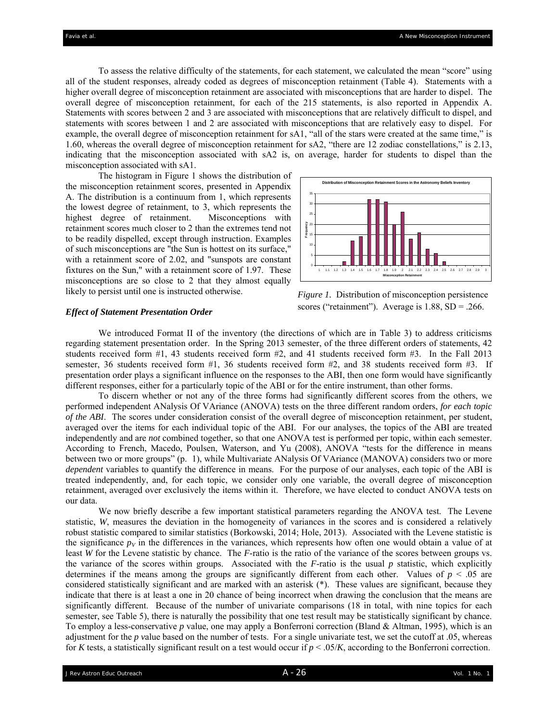To assess the relative difficulty of the statements, for each statement, we calculated the mean "score" using all of the student responses, already coded as degrees of misconception retainment (Table 4). Statements with a higher overall degree of misconception retainment are associated with misconceptions that are harder to dispel. The overall degree of misconception retainment, for each of the 215 statements, is also reported in Appendix A. Statements with scores between 2 and 3 are associated with misconceptions that are relatively difficult to dispel, and statements with scores between 1 and 2 are associated with misconceptions that are relatively easy to dispel. For example, the overall degree of misconception retainment for sA1, "all of the stars were created at the same time," is 1.60, whereas the overall degree of misconception retainment for sA2, "there are 12 zodiac constellations," is 2.13, indicating that the misconception associated with sA2 is, on average, harder for students to dispel than the misconception associated with sA1.

The histogram in Figure 1 shows the distribution of the misconception retainment scores, presented in Appendix A. The distribution is a continuum from 1, which represents the lowest degree of retainment, to 3, which represents the highest degree of retainment. Misconceptions with retainment scores much closer to 2 than the extremes tend not to be readily dispelled, except through instruction. Examples of such misconceptions are "the Sun is hottest on its surface," with a retainment score of 2.02, and "sunspots are constant fixtures on the Sun," with a retainment score of 1.97. These misconceptions are so close to 2 that they almost equally likely to persist until one is instructed otherwise.



#### *Effect of Statement Presentation Order*

*Figure 1.* Distribution of misconception persistence scores ("retainment"). Average is  $1.88$ ,  $SD = .266$ .

We introduced Format II of the inventory (the directions of which are in Table 3) to address criticisms regarding statement presentation order. In the Spring 2013 semester, of the three different orders of statements, 42 students received form #1, 43 students received form #2, and 41 students received form #3. In the Fall 2013 semester, 36 students received form #1, 36 students received form #2, and 38 students received form #3. If presentation order plays a significant influence on the responses to the ABI, then one form would have significantly different responses, either for a particularly topic of the ABI or for the entire instrument, than other forms.

To discern whether or not any of the three forms had significantly different scores from the others, we performed independent ANalysis Of VAriance (ANOVA) tests on the three different random orders, *for each topic of the ABI*. The scores under consideration consist of the overall degree of misconception retainment, per student, averaged over the items for each individual topic of the ABI. For our analyses, the topics of the ABI are treated independently and are *not* combined together, so that one ANOVA test is performed per topic, within each semester. According to French, Macedo, Poulsen, Waterson, and Yu (2008), ANOVA "tests for the difference in means between two or more groups" (p. 1), while Multivariate ANalysis Of VAriance (MANOVA) considers two or more *dependent* variables to quantify the difference in means. For the purpose of our analyses, each topic of the ABI is treated independently, and, for each topic, we consider only one variable, the overall degree of misconception retainment, averaged over exclusively the items within it. Therefore, we have elected to conduct ANOVA tests on our data.

We now briefly describe a few important statistical parameters regarding the ANOVA test. The Levene statistic, *W*, measures the deviation in the homogeneity of variances in the scores and is considered a relatively robust statistic compared to similar statistics (Borkowski, 2014; Hole, 2013). Associated with the Levene statistic is the significance  $p_V$  in the differences in the variances, which represents how often one would obtain a value of at least *W* for the Levene statistic by chance. The *F*-ratio is the ratio of the variance of the scores between groups vs. the variance of the scores within groups. Associated with the  $F$ -ratio is the usual  $p$  statistic, which explicitly determines if the means among the groups are significantly different from each other. Values of  $p < .05$  are considered statistically significant and are marked with an asterisk (\*). These values are significant, because they indicate that there is at least a one in 20 chance of being incorrect when drawing the conclusion that the means are significantly different. Because of the number of univariate comparisons (18 in total, with nine topics for each semester, see Table 5), there is naturally the possibility that one test result may be statistically significant by chance. To employ a less-conservative *p* value, one may apply a Bonferroni correction (Bland & Altman, 1995), which is an adjustment for the *p v*alue based on the number of tests. For a single univariate test, we set the cutoff at .05, whereas for *K* tests, a statistically significant result on a test would occur if  $p < .05/K$ , according to the Bonferroni correction.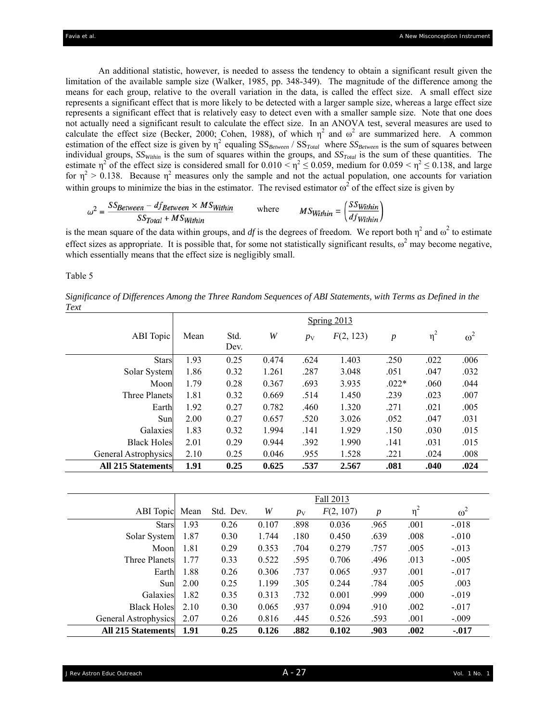An additional statistic, however, is needed to assess the tendency to obtain a significant result given the limitation of the available sample size (Walker, 1985, pp. 348-349). The magnitude of the difference among the means for each group, relative to the overall variation in the data, is called the effect size. A small effect size represents a significant effect that is more likely to be detected with a larger sample size, whereas a large effect size represents a significant effect that is relatively easy to detect even with a smaller sample size. Note that one does not actually need a significant result to calculate the effect size. In an ANOVA test, several measures are used to calculate the effect size (Becker, 2000; Cohen, 1988), of which  $\eta^2$  and  $\omega^2$  are summarized here. A common estimation of the effect size is given by  $\eta^2$  equaling  $SS_{Between}$  /  $SS_{Total}$  where  $SS_{Between}$  is the sum of squares between individual groups,  $SS<sub>Within</sub>$  is the sum of squares within the groups, and  $SS<sub>Total</sub>$  is the sum of these quantities. The estimate  $\eta^2$  of the effect size is considered small for  $0.010 < \eta^2 \le 0.059$ , medium for  $0.059 < \eta^2 \le 0.138$ , and large for  $\eta^2 > 0.138$ . Because  $\eta^2$  measures only the sample and not the actual population, one accounts for variation within groups to minimize the bias in the estimator. The revised estimator  $\omega^2$  of the effect size is given by

$$
\omega^2 = \frac{SS_{Between} - df_{Between} \times MS_{Within}}{SS_{Total} + MS_{Within}}
$$
 where 
$$
MS_{Within} = \left(\frac{SS_{Within}}{df_{Within}}\right)
$$

is the mean square of the data within groups, and *df* is the degrees of freedom. We report both  $\eta^2$  and  $\omega^2$  to estimate effect sizes as appropriate. It is possible that, for some not statistically significant results,  $\omega^2$  may become negative, which essentially means that the effect size is negligibly small.

### Table 5

*Significance of Differences Among the Three Random Sequences of ABI Statements, with Terms as Defined in the Text* 

|                           |      | Spring 2013  |       |             |           |                  |          |            |  |
|---------------------------|------|--------------|-------|-------------|-----------|------------------|----------|------------|--|
| ABI Topic                 | Mean | Std.<br>Dev. | W     | $p_{\rm V}$ | F(2, 123) | $\boldsymbol{p}$ | $\eta^2$ | $\omega^2$ |  |
| <b>Stars</b>              | 1.93 | 0.25         | 0.474 | .624        | 1.403     | .250             | .022     | .006       |  |
| Solar System              | 1.86 | 0.32         | 1.261 | .287        | 3.048     | .051             | .047     | .032       |  |
| Moon                      | 1.79 | 0.28         | 0.367 | .693        | 3.935     | $.022*$          | .060     | .044       |  |
| <b>Three Planets</b>      | 1.81 | 0.32         | 0.669 | .514        | 1.450     | .239             | .023     | .007       |  |
| Earth                     | 1.92 | 0.27         | 0.782 | .460        | 1.320     | .271             | .021     | .005       |  |
| Sun                       | 2.00 | 0.27         | 0.657 | .520        | 3.026     | .052             | .047     | .031       |  |
| Galaxies                  | 1.83 | 0.32         | 1.994 | .141        | 1.929     | .150             | .030     | .015       |  |
| <b>Black Holes</b>        | 2.01 | 0.29         | 0.944 | .392        | 1.990     | .141             | .031     | .015       |  |
| General Astrophysics      | 2.10 | 0.25         | 0.046 | .955        | 1.528     | .221             | .024     | .008       |  |
| <b>All 215 Statements</b> | 1.91 | 0.25         | 0.625 | .537        | 2.567     | .081             | .040     | .024       |  |

|                           |      | Fall 2013 |       |             |           |                  |          |            |
|---------------------------|------|-----------|-------|-------------|-----------|------------------|----------|------------|
| ABI Topic                 | Mean | Std. Dev. | W     | $p_{\rm V}$ | F(2, 107) | $\boldsymbol{p}$ | $\eta^2$ | $\omega^2$ |
| <b>Stars</b>              | 1.93 | 0.26      | 0.107 | .898        | 0.036     | .965             | .001     | $-.018$    |
| Solar System              | 1.87 | 0.30      | 1.744 | .180        | 0.450     | .639             | .008     | $-.010$    |
| Moon                      | 1.81 | 0.29      | 0.353 | .704        | 0.279     | .757             | .005     | $-.013$    |
| <b>Three Planets</b>      | 1.77 | 0.33      | 0.522 | .595        | 0.706     | .496             | .013     | $-.005$    |
| Earth                     | 1.88 | 0.26      | 0.306 | .737        | 0.065     | .937             | .001     | $-.017$    |
| Sun                       | 2.00 | 0.25      | 1.199 | .305        | 0.244     | .784             | .005     | .003       |
| Galaxies                  | 1.82 | 0.35      | 0.313 | .732        | 0.001     | .999             | .000     | $-.019$    |
| <b>Black Holes</b>        | 2.10 | 0.30      | 0.065 | .937        | 0.094     | .910             | .002     | $-.017$    |
| General Astrophysics      | 2.07 | 0.26      | 0.816 | .445        | 0.526     | .593             | .001     | $-.009$    |
| <b>All 215 Statements</b> | 1.91 | 0.25      | 0.126 | .882        | 0.102     | .903             | .002     | $-0.017$   |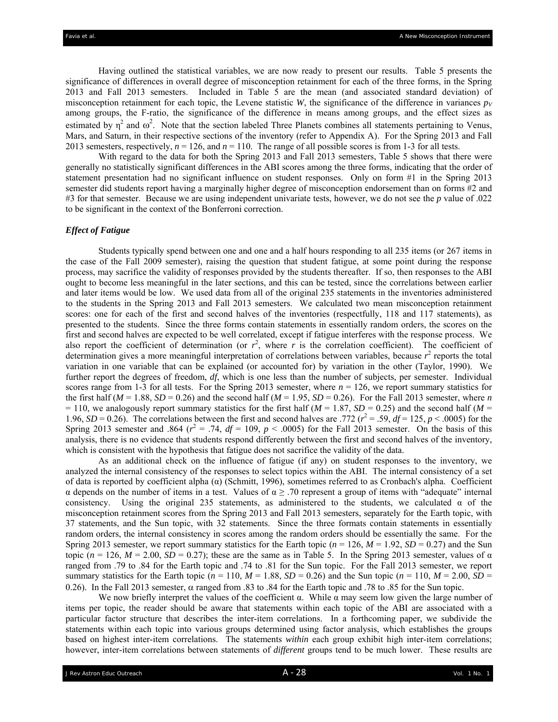Having outlined the statistical variables, we are now ready to present our results. Table 5 presents the significance of differences in overall degree of misconception retainment for each of the three forms, in the Spring 2013 and Fall 2013 semesters. Included in Table 5 are the mean (and associated standard deviation) of misconception retainment for each topic, the Levene statistic *W*, the significance of the difference in variances  $p_V$ among groups, the F-ratio, the significance of the difference in means among groups, and the effect sizes as estimated by  $\eta^2$  and  $\omega^2$ . Note that the section labeled Three Planets combines all statements pertaining to Venus, Mars, and Saturn, in their respective sections of the inventory (refer to Appendix A). For the Spring 2013 and Fall 2013 semesters, respectively,  $n = 126$ , and  $n = 110$ . The range of all possible scores is from 1-3 for all tests.

With regard to the data for both the Spring 2013 and Fall 2013 semesters, Table 5 shows that there were generally no statistically significant differences in the ABI scores among the three forms, indicating that the order of statement presentation had no significant influence on student responses. Only on form #1 in the Spring 2013 semester did students report having a marginally higher degree of misconception endorsement than on forms #2 and #3 for that semester. Because we are using independent univariate tests, however, we do not see the *p* value of .022 to be significant in the context of the Bonferroni correction.

## *Effect of Fatigue*

Students typically spend between one and one and a half hours responding to all 235 items (or 267 items in the case of the Fall 2009 semester), raising the question that student fatigue, at some point during the response process, may sacrifice the validity of responses provided by the students thereafter. If so, then responses to the ABI ought to become less meaningful in the later sections, and this can be tested, since the correlations between earlier and later items would be low. We used data from all of the original 235 statements in the inventories administered to the students in the Spring 2013 and Fall 2013 semesters. We calculated two mean misconception retainment scores: one for each of the first and second halves of the inventories (respectfully, 118 and 117 statements), as presented to the students. Since the three forms contain statements in essentially random orders, the scores on the first and second halves are expected to be well correlated, except if fatigue interferes with the response process. We also report the coefficient of determination (or  $r^2$ , where  $r$  is the correlation coefficient). The coefficient of determination gives a more meaningful interpretation of correlations between variables, because  $r^2$  reports the total variation in one variable that can be explained (or accounted for) by variation in the other (Taylor, 1990). We further report the degrees of freedom, *df*, which is one less than the number of subjects, per semester. Individual scores range from 1-3 for all tests. For the Spring 2013 semester, where  $n = 126$ , we report summary statistics for the first half ( $M = 1.88$ ,  $SD = 0.26$ ) and the second half ( $M = 1.95$ ,  $SD = 0.26$ ). For the Fall 2013 semester, where *n*  $= 110$ , we analogously report summary statistics for the first half ( $M = 1.87$ ,  $SD = 0.25$ ) and the second half ( $M = 1.87$ ) 1.96,  $SD = 0.26$ ). The correlations between the first and second halves are .772 ( $r^2 = .59$ ,  $df = 125$ ,  $p < .0005$ ) for the Spring 2013 semester and .864 ( $r^2$  = .74,  $df$  = 109,  $p$  < .0005) for the Fall 2013 semester. On the basis of this analysis, there is no evidence that students respond differently between the first and second halves of the inventory, which is consistent with the hypothesis that fatigue does not sacrifice the validity of the data.

As an additional check on the influence of fatigue (if any) on student responses to the inventory, we analyzed the internal consistency of the responses to select topics within the ABI. The internal consistency of a set of data is reported by coefficient alpha (α) (Schmitt, 1996), sometimes referred to as Cronbach's alpha. Coefficient α depends on the number of items in a test. Values of α ≥ .70 represent a group of items with "adequate" internal consistency. Using the original 235 statements, as administered to the students, we calculated  $\alpha$  of the misconception retainment scores from the Spring 2013 and Fall 2013 semesters, separately for the Earth topic, with 37 statements, and the Sun topic, with 32 statements. Since the three formats contain statements in essentially random orders, the internal consistency in scores among the random orders should be essentially the same. For the Spring 2013 semester, we report summary statistics for the Earth topic ( $n = 126$ ,  $M = 1.92$ ,  $SD = 0.27$ ) and the Sun topic ( $n = 126$ ,  $M = 2.00$ ,  $SD = 0.27$ ); these are the same as in Table 5. In the Spring 2013 semester, values of  $\alpha$ ranged from .79 to .84 for the Earth topic and .74 to .81 for the Sun topic. For the Fall 2013 semester, we report summary statistics for the Earth topic ( $n = 110$ ,  $M = 1.88$ ,  $SD = 0.26$ ) and the Sun topic ( $n = 110$ ,  $M = 2.00$ ,  $SD = 1.88$ ,  $SD = 0.26$ ) and the Sun topic ( $n = 110$ ,  $M = 2.00$ ,  $SD = 1.88$ 0.26). In the Fall 2013 semester,  $\alpha$  ranged from .83 to .84 for the Earth topic and .78 to .85 for the Sun topic.

We now briefly interpret the values of the coefficient  $\alpha$ . While  $\alpha$  may seem low given the large number of items per topic, the reader should be aware that statements within each topic of the ABI are associated with a particular factor structure that describes the inter-item correlations. In a forthcoming paper, we subdivide the statements within each topic into various groups determined using factor analysis, which establishes the groups based on highest inter-item correlations. The statements *within* each group exhibit high inter-item correlations; however, inter-item correlations between statements of *different* groups tend to be much lower. These results are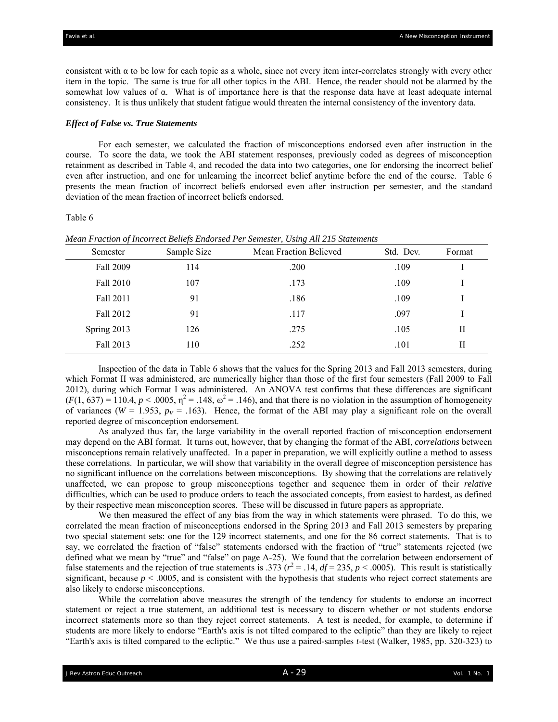consistent with  $\alpha$  to be low for each topic as a whole, since not every item inter-correlates strongly with every other item in the topic. The same is true for all other topics in the ABI. Hence, the reader should not be alarmed by the somewhat low values of α. What is of importance here is that the response data have at least adequate internal consistency. It is thus unlikely that student fatigue would threaten the internal consistency of the inventory data.

#### *Effect of False vs. True Statements*

For each semester, we calculated the fraction of misconceptions endorsed even after instruction in the course. To score the data, we took the ABI statement responses, previously coded as degrees of misconception retainment as described in Table 4, and recoded the data into two categories, one for endorsing the incorrect belief even after instruction, and one for unlearning the incorrect belief anytime before the end of the course. Table 6 presents the mean fraction of incorrect beliefs endorsed even after instruction per semester, and the standard deviation of the mean fraction of incorrect beliefs endorsed.

#### Table 6

| Semester    | Sample Size | Mean Fraction Believed | Std. Dev. | Format |
|-------------|-------------|------------------------|-----------|--------|
| Fall 2009   | 114         | .200                   | .109      |        |
| Fall 2010   | 107         | .173                   | .109      |        |
| Fall 2011   | 91          | .186                   | .109      |        |
| Fall 2012   | 91          | .117                   | .097      |        |
| Spring 2013 | 126         | .275                   | .105      | Н      |
| Fall 2013   | 110         | .252                   | .101      | Н      |

*Mean Fraction of Incorrect Beliefs Endorsed Per Semester, Using All 215 Statements* 

Inspection of the data in Table 6 shows that the values for the Spring 2013 and Fall 2013 semesters, during which Format II was administered, are numerically higher than those of the first four semesters (Fall 2009 to Fall 2012), during which Format I was administered. An ANOVA test confirms that these differences are significant  $(F(1, 637) = 110.4, p < .0005, \eta^2 = .148, \omega^2 = .146)$ , and that there is no violation in the assumption of homogeneity of variances ( $W = 1.953$ ,  $p_V = .163$ ). Hence, the format of the ABI may play a significant role on the overall reported degree of misconception endorsement.

As analyzed thus far, the large variability in the overall reported fraction of misconception endorsement may depend on the ABI format. It turns out, however, that by changing the format of the ABI, *correlations* between misconceptions remain relatively unaffected. In a paper in preparation, we will explicitly outline a method to assess these correlations. In particular, we will show that variability in the overall degree of misconception persistence has no significant influence on the correlations between misconceptions. By showing that the correlations are relatively unaffected, we can propose to group misconceptions together and sequence them in order of their *relative* difficulties, which can be used to produce orders to teach the associated concepts, from easiest to hardest, as defined by their respective mean misconception scores. These will be discussed in future papers as appropriate.

We then measured the effect of any bias from the way in which statements were phrased. To do this, we correlated the mean fraction of misconceptions endorsed in the Spring 2013 and Fall 2013 semesters by preparing two special statement sets: one for the 129 incorrect statements, and one for the 86 correct statements. That is to say, we correlated the fraction of "false" statements endorsed with the fraction of "true" statements rejected (we defined what we mean by "true" and "false" on page A-25). We found that the correlation between endorsement of false statements and the rejection of true statements is .373 ( $r^2$  = .14,  $df$  = 235,  $p$  < .0005). This result is statistically significant, because  $p < .0005$ , and is consistent with the hypothesis that students who reject correct statements are also likely to endorse misconceptions.

While the correlation above measures the strength of the tendency for students to endorse an incorrect statement or reject a true statement, an additional test is necessary to discern whether or not students endorse incorrect statements more so than they reject correct statements. A test is needed, for example, to determine if students are more likely to endorse "Earth's axis is not tilted compared to the ecliptic" than they are likely to reject "Earth's axis is tilted compared to the ecliptic." We thus use a paired-samples *t*-test (Walker, 1985, pp. 320-323) to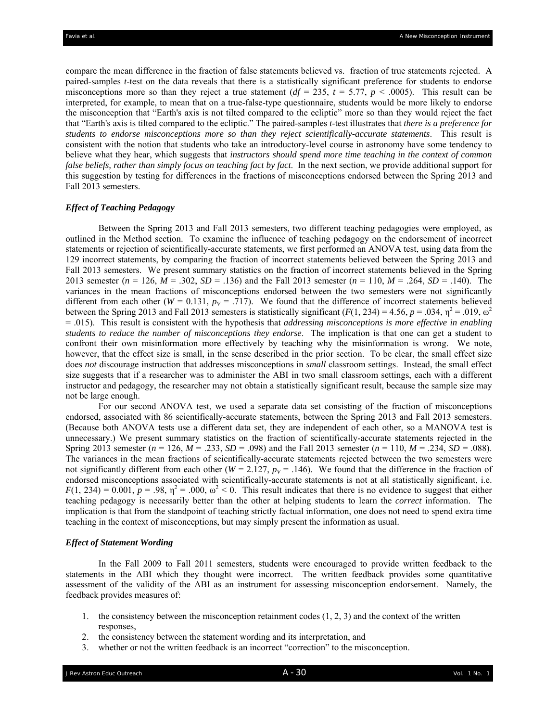compare the mean difference in the fraction of false statements believed vs. fraction of true statements rejected. A paired-samples *t*-test on the data reveals that there is a statistically significant preference for students to endorse misconceptions more so than they reject a true statement  $(df = 235, t = 5.77, p < .0005)$ . This result can be interpreted, for example, to mean that on a true-false-type questionnaire, students would be more likely to endorse the misconception that "Earth's axis is not tilted compared to the ecliptic" more so than they would reject the fact that "Earth's axis is tilted compared to the ecliptic." The paired-samples *t*-test illustrates that *there is a preference for students to endorse misconceptions more so than they reject scientifically-accurate statements*. This result is consistent with the notion that students who take an introductory-level course in astronomy have some tendency to believe what they hear, which suggests that *instructors should spend more time teaching in the context of common false beliefs, rather than simply focus on teaching fact by fact*. In the next section, we provide additional support for this suggestion by testing for differences in the fractions of misconceptions endorsed between the Spring 2013 and Fall 2013 semesters.

### *Effect of Teaching Pedagogy*

Between the Spring 2013 and Fall 2013 semesters, two different teaching pedagogies were employed, as outlined in the Method section. To examine the influence of teaching pedagogy on the endorsement of incorrect statements or rejection of scientifically-accurate statements, we first performed an ANOVA test, using data from the 129 incorrect statements, by comparing the fraction of incorrect statements believed between the Spring 2013 and Fall 2013 semesters. We present summary statistics on the fraction of incorrect statements believed in the Spring 2013 semester (*n* = 126, *M* = .302, *SD* = .136) and the Fall 2013 semester (*n* = 110, *M* = .264, *SD* = .140). The variances in the mean fractions of misconceptions endorsed between the two semesters were not significantly different from each other ( $W = 0.131$ ,  $p_V = .717$ ). We found that the difference of incorrect statements believed between the Spring 2013 and Fall 2013 semesters is statistically significant  $(F(1, 234) = 4.56, p = .034, \eta^2 = .019, \omega^2$ = .015). This result is consistent with the hypothesis that *addressing misconceptions is more effective in enabling students to reduce the number of misconceptions they endorse*. The implication is that one can get a student to confront their own misinformation more effectively by teaching why the misinformation is wrong. We note, however, that the effect size is small, in the sense described in the prior section. To be clear, the small effect size does *not* discourage instruction that addresses misconceptions in *small* classroom settings. Instead, the small effect size suggests that if a researcher was to administer the ABI in two small classroom settings, each with a different instructor and pedagogy, the researcher may not obtain a statistically significant result, because the sample size may not be large enough.

For our second ANOVA test, we used a separate data set consisting of the fraction of misconceptions endorsed, associated with 86 scientifically-accurate statements, between the Spring 2013 and Fall 2013 semesters. (Because both ANOVA tests use a different data set, they are independent of each other, so a MANOVA test is unnecessary.) We present summary statistics on the fraction of scientifically-accurate statements rejected in the Spring 2013 semester ( $n = 126$ ,  $M = .233$ ,  $SD = .098$ ) and the Fall 2013 semester ( $n = 110$ ,  $M = .234$ ,  $SD = .088$ ). The variances in the mean fractions of scientifically-accurate statements rejected between the two semesters were not significantly different from each other ( $W = 2.127$ ,  $p_V = .146$ ). We found that the difference in the fraction of endorsed misconceptions associated with scientifically-accurate statements is not at all statistically significant, i.e.  $F(1, 234) = 0.001$ ,  $p = .98$ ,  $\eta^2 = .000$ ,  $\omega^2 < 0$ . This result indicates that there is no evidence to suggest that either teaching pedagogy is necessarily better than the other at helping students to learn the *correct* information. The implication is that from the standpoint of teaching strictly factual information, one does not need to spend extra time teaching in the context of misconceptions, but may simply present the information as usual.

#### *Effect of Statement Wording*

In the Fall 2009 to Fall 2011 semesters, students were encouraged to provide written feedback to the statements in the ABI which they thought were incorrect. The written feedback provides some quantitative assessment of the validity of the ABI as an instrument for assessing misconception endorsement. Namely, the feedback provides measures of:

- 1. the consistency between the misconception retainment codes (1, 2, 3) and the context of the written responses,
- 2. the consistency between the statement wording and its interpretation, and
- 3. whether or not the written feedback is an incorrect "correction" to the misconception.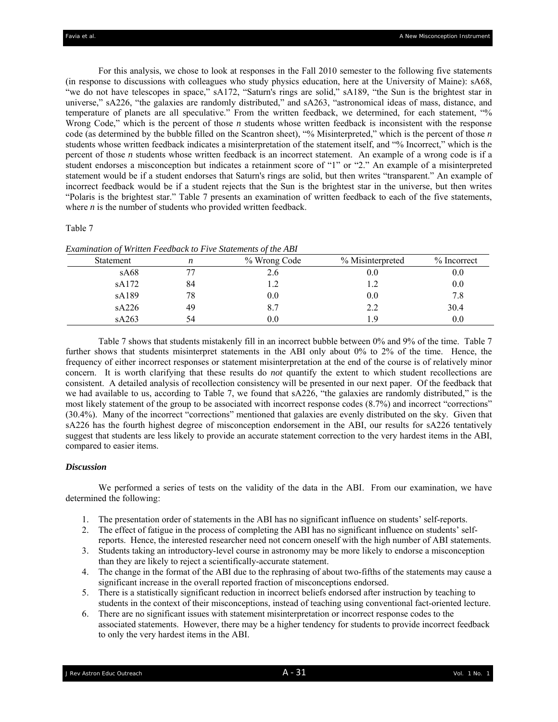For this analysis, we chose to look at responses in the Fall 2010 semester to the following five statements (in response to discussions with colleagues who study physics education, here at the University of Maine): sA68, "we do not have telescopes in space," sA172, "Saturn's rings are solid," sA189, "the Sun is the brightest star in universe," sA226, "the galaxies are randomly distributed," and sA263, "astronomical ideas of mass, distance, and temperature of planets are all speculative." From the written feedback, we determined, for each statement, "% Wrong Code," which is the percent of those *n* students whose written feedback is inconsistent with the response code (as determined by the bubble filled on the Scantron sheet), "% Misinterpreted," which is the percent of those *n* students whose written feedback indicates a misinterpretation of the statement itself, and "% Incorrect," which is the percent of those *n* students whose written feedback is an incorrect statement. An example of a wrong code is if a student endorses a misconception but indicates a retainment score of "1" or "2." An example of a misinterpreted statement would be if a student endorses that Saturn's rings are solid, but then writes "transparent." An example of incorrect feedback would be if a student rejects that the Sun is the brightest star in the universe, but then writes "Polaris is the brightest star." Table 7 presents an examination of written feedback to each of the five statements, where *n* is the number of students who provided written feedback.

#### Table 7

*Examination of Written Feedback to Five Statements of the ABI* 

| <b>Statement</b> | n  | % Wrong Code | % Misinterpreted | $%$ Incorrect |
|------------------|----|--------------|------------------|---------------|
| sA68             | 77 | 2.6          | $0.0\,$          | $0.0\,$       |
| sA172            | 84 |              | 1.2              | 0.0           |
| sA189            | 78 | 0.0          | $0.0\,$          | 7.8           |
| sA226            | 49 | 8.7          | 2.2              | 30.4          |
| sA263            | 54 | $0.0\,$      | , 9              | 0.0           |

Table 7 shows that students mistakenly fill in an incorrect bubble between 0% and 9% of the time. Table 7 further shows that students misinterpret statements in the ABI only about 0% to 2% of the time. Hence, the frequency of either incorrect responses or statement misinterpretation at the end of the course is of relatively minor concern. It is worth clarifying that these results do *not* quantify the extent to which student recollections are consistent. A detailed analysis of recollection consistency will be presented in our next paper. Of the feedback that we had available to us, according to Table 7, we found that sA226, "the galaxies are randomly distributed," is the most likely statement of the group to be associated with incorrect response codes (8.7%) and incorrect "corrections" (30.4%). Many of the incorrect "corrections" mentioned that galaxies are evenly distributed on the sky. Given that sA226 has the fourth highest degree of misconception endorsement in the ABI, our results for sA226 tentatively suggest that students are less likely to provide an accurate statement correction to the very hardest items in the ABI, compared to easier items.

## *Discussion*

We performed a series of tests on the validity of the data in the ABI. From our examination, we have determined the following:

- 1. The presentation order of statements in the ABI has no significant influence on students' self-reports.
- 2. The effect of fatigue in the process of completing the ABI has no significant influence on students' selfreports. Hence, the interested researcher need not concern oneself with the high number of ABI statements.
- 3. Students taking an introductory-level course in astronomy may be more likely to endorse a misconception than they are likely to reject a scientifically-accurate statement.
- 4. The change in the format of the ABI due to the rephrasing of about two-fifths of the statements may cause a significant increase in the overall reported fraction of misconceptions endorsed.
- 5. There is a statistically significant reduction in incorrect beliefs endorsed after instruction by teaching to students in the context of their misconceptions, instead of teaching using conventional fact-oriented lecture.
- 6. There are no significant issues with statement misinterpretation or incorrect response codes to the associated statements. However, there may be a higher tendency for students to provide incorrect feedback to only the very hardest items in the ABI.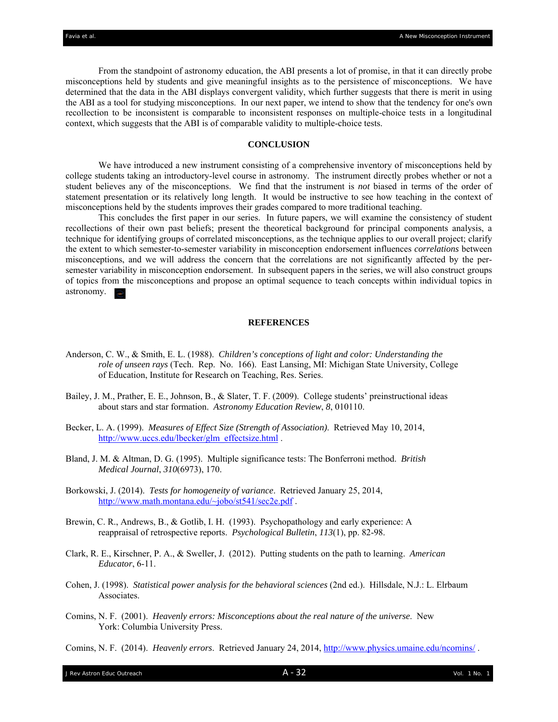From the standpoint of astronomy education, the ABI presents a lot of promise, in that it can directly probe misconceptions held by students and give meaningful insights as to the persistence of misconceptions. We have determined that the data in the ABI displays convergent validity, which further suggests that there is merit in using the ABI as a tool for studying misconceptions. In our next paper, we intend to show that the tendency for one's own recollection to be inconsistent is comparable to inconsistent responses on multiple-choice tests in a longitudinal context, which suggests that the ABI is of comparable validity to multiple-choice tests.

## **CONCLUSION**

We have introduced a new instrument consisting of a comprehensive inventory of misconceptions held by college students taking an introductory-level course in astronomy. The instrument directly probes whether or not a student believes any of the misconceptions. We find that the instrument is *not* biased in terms of the order of statement presentation or its relatively long length. It would be instructive to see how teaching in the context of misconceptions held by the students improves their grades compared to more traditional teaching.

This concludes the first paper in our series. In future papers, we will examine the consistency of student recollections of their own past beliefs; present the theoretical background for principal components analysis, a technique for identifying groups of correlated misconceptions, as the technique applies to our overall project; clarify the extent to which semester-to-semester variability in misconception endorsement influences *correlations* between misconceptions, and we will address the concern that the correlations are not significantly affected by the persemester variability in misconception endorsement. In subsequent papers in the series, we will also construct groups of topics from the misconceptions and propose an optimal sequence to teach concepts within individual topics in astronomy.

### **REFERENCES**

- Anderson, C. W., & Smith, E. L. (1988). *Children's conceptions of light and color: Understanding the role of unseen rays* (Tech. Rep. No. 166). East Lansing, MI: Michigan State University, College of Education, Institute for Research on Teaching, Res. Series.
- Bailey, J. M., Prather, E. E., Johnson, B., & Slater, T. F. (2009). College students' preinstructional ideas about stars and star formation. *Astronomy Education Review*, *8*, 010110.
- Becker, L. A. (1999). *Measures of Effect Size (Strength of Association)*. Retrieved May 10, 2014, http://www.uccs.edu/lbecker/glm\_effectsize.html .
- Bland, J. M. & Altman, D. G. (1995). Multiple significance tests: The Bonferroni method. *British Medical Journal*, *310*(6973), 170.
- Borkowski, J. (2014). *Tests for homogeneity of variance*. Retrieved January 25, 2014, http://www.math.montana.edu/~jobo/st541/sec2e.pdf.
- Brewin, C. R., Andrews, B., & Gotlib, I. H. (1993). Psychopathology and early experience: A reappraisal of retrospective reports. *Psychological Bulletin*, *113*(1), pp. 82-98.
- Clark, R. E., Kirschner, P. A., & Sweller, J. (2012). Putting students on the path to learning. *American Educator*, 6-11.
- Cohen, J. (1998). *Statistical power analysis for the behavioral sciences* (2nd ed.). Hillsdale, N.J.: L. Elrbaum Associates.
- Comins, N. F. (2001). *Heavenly errors: Misconceptions about the real nature of the universe*. New York: Columbia University Press.
- Comins, N. F. (2014). *Heavenly errors*. Retrieved January 24, 2014, http://www.physics.umaine.edu/ncomins/ .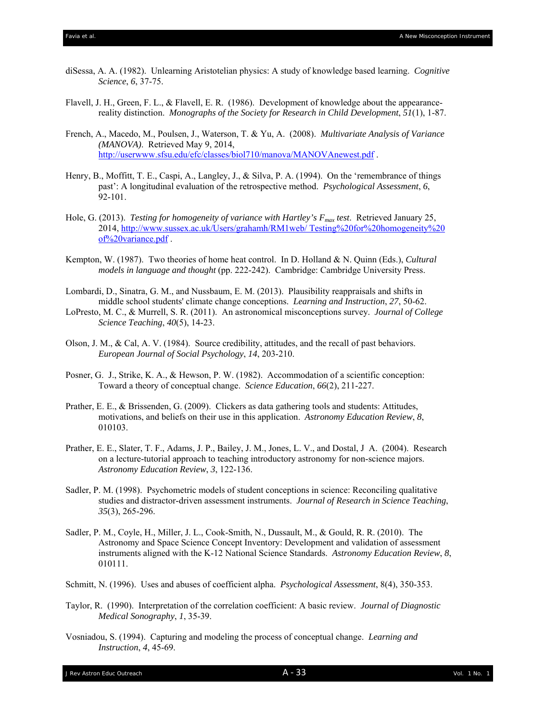- diSessa, A. A. (1982). Unlearning Aristotelian physics: A study of knowledge based learning. *Cognitive Science*, *6*, 37-75.
- Flavell, J. H., Green, F. L., & Flavell, E. R. (1986). Development of knowledge about the appearance reality distinction. *Monographs of the Society for Research in Child Development*, *51*(1), 1-87.
- French, A., Macedo, M., Poulsen, J., Waterson, T. & Yu, A. (2008). *Multivariate Analysis of Variance (MANOVA)*. Retrieved May 9, 2014, http://userwww.sfsu.edu/efc/classes/biol710/manova/MANOVAnewest.pdf .
- Henry, B., Moffitt, T. E., Caspi, A., Langley, J., & Silva, P. A. (1994). On the 'remembrance of things past': A longitudinal evaluation of the retrospective method. *Psychological Assessment*, *6*, 92-101.
- Hole, G. (2013). *Testing for homogeneity of variance with Hartley's Fmax test*. Retrieved January 25, 2014, http://www.sussex.ac.uk/Users/grahamh/RM1web/ Testing%20for%20homogeneity%20 of%20variance.pdf .
- Kempton, W. (1987). Two theories of home heat control. In D. Holland & N. Quinn (Eds.), *Cultural models in language and thought* (pp. 222-242). Cambridge: Cambridge University Press.
- Lombardi, D., Sinatra, G. M., and Nussbaum, E. M. (2013). Plausibility reappraisals and shifts in middle school students' climate change conceptions. *Learning and Instruction*, *27*, 50-62.
- LoPresto, M. C., & Murrell, S. R. (2011). An astronomical misconceptions survey. *Journal of College Science Teaching*, *40*(5), 14-23.
- Olson, J. M., & Cal, A. V. (1984). Source credibility, attitudes, and the recall of past behaviors.  *European Journal of Social Psychology*, *14*, 203-210.
- Posner, G. J., Strike, K. A., & Hewson, P. W. (1982). Accommodation of a scientific conception: Toward a theory of conceptual change. *Science Education*, *66*(2), 211-227.
- Prather, E. E., & Brissenden, G. (2009). Clickers as data gathering tools and students: Attitudes, motivations, and beliefs on their use in this application. *Astronomy Education Review*, *8*, 010103.
- Prather, E. E., Slater, T. F., Adams, J. P., Bailey, J. M., Jones, L. V., and Dostal, J A. (2004). Research on a lecture-tutorial approach to teaching introductory astronomy for non-science majors. *Astronomy Education Review*, *3*, 122-136.
- Sadler, P. M. (1998). Psychometric models of student conceptions in science: Reconciling qualitative studies and distractor-driven assessment instruments. *Journal of Research in Science Teaching*, *35*(3), 265-296.
- Sadler, P. M., Coyle, H., Miller, J. L., Cook-Smith, N., Dussault, M., & Gould, R. R. (2010). The Astronomy and Space Science Concept Inventory: Development and validation of assessment instruments aligned with the K-12 National Science Standards. *Astronomy Education Review*, *8*, 010111.
- Schmitt, N. (1996). Uses and abuses of coefficient alpha. *Psychological Assessment*, 8(4), 350-353.
- Taylor, R. (1990). Interpretation of the correlation coefficient: A basic review. *Journal of Diagnostic Medical Sonography*, *1*, 35-39.
- Vosniadou, S. (1994). Capturing and modeling the process of conceptual change. *Learning and Instruction*, *4*, 45-69.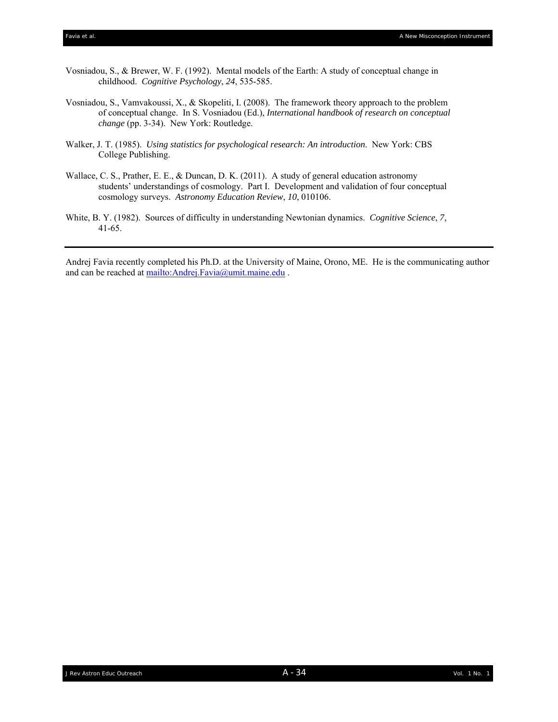- Vosniadou, S., & Brewer, W. F. (1992). Mental models of the Earth: A study of conceptual change in childhood. *Cognitive Psychology*, *24*, 535-585.
- Vosniadou, S., Vamvakoussi, X., & Skopeliti, I. (2008). The framework theory approach to the problem of conceptual change. In S. Vosniadou (Ed.), *International handbook of research on conceptual change* (pp. 3-34). New York: Routledge.
- Walker, J. T. (1985). *Using statistics for psychological research: An introduction*. New York: CBS College Publishing.
- Wallace, C. S., Prather, E. E., & Duncan, D. K. (2011). A study of general education astronomy students' understandings of cosmology. Part I. Development and validation of four conceptual cosmology surveys. *Astronomy Education Review*, *10*, 010106.
- White, B. Y. (1982). Sources of difficulty in understanding Newtonian dynamics. *Cognitive Science*, *7*, 41-65.

Andrej Favia recently completed his Ph.D. at the University of Maine, Orono, ME. He is the communicating author and can be reached at mailto:Andrej.Favia@umit.maine.edu .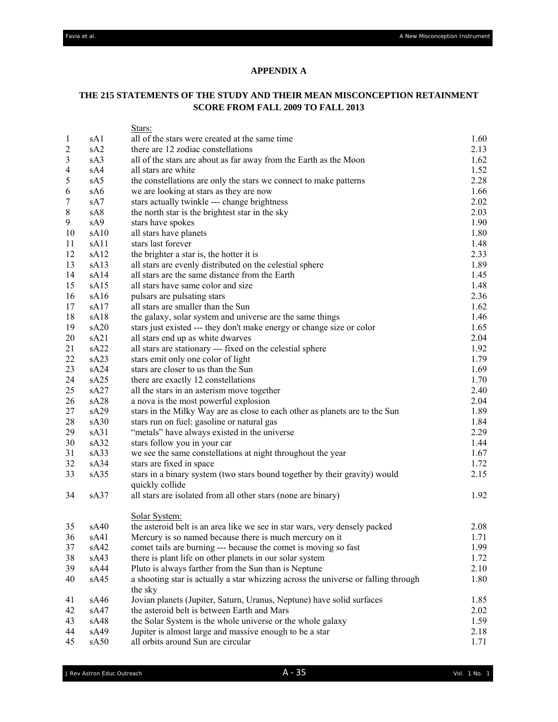## **APPENDIX A**

## **THE 215 STATEMENTS OF THE STUDY AND THEIR MEAN MISCONCEPTION RETAINMENT SCORE FROM FALL 2009 TO FALL 2013**

|                  |                  | Stars:                                                                             |      |
|------------------|------------------|------------------------------------------------------------------------------------|------|
| $\mathbf{1}$     | sA1              | all of the stars were created at the same time                                     | 1.60 |
| $\boldsymbol{2}$ | sA <sub>2</sub>  | there are 12 zodiac constellations                                                 | 2.13 |
| 3                | sA3              | all of the stars are about as far away from the Earth as the Moon                  | 1.62 |
| $\overline{4}$   | sA4              | all stars are white                                                                | 1.52 |
| 5                | sA5              | the constellations are only the stars we connect to make patterns                  | 2.28 |
| 6                | sA6              | we are looking at stars as they are now                                            | 1.66 |
| 7                | sA7              | stars actually twinkle --- change brightness                                       | 2.02 |
| $8\,$            | sA8              | the north star is the brightest star in the sky                                    | 2.03 |
| 9                | sA9              | stars have spokes                                                                  | 1.90 |
| 10               | sA10             | all stars have planets                                                             | 1.80 |
| 11               | sA11             | stars last forever                                                                 | 1.48 |
| 12               | sA12             | the brighter a star is, the hotter it is                                           | 2.33 |
| 13               | sA13             | all stars are evenly distributed on the celestial sphere                           | 1.89 |
| 14               | sA14             | all stars are the same distance from the Earth                                     | 1.45 |
| 15               | sA15             | all stars have same color and size                                                 | 1.48 |
| 16               | sA <sub>16</sub> | pulsars are pulsating stars                                                        | 2.36 |
| 17               | sA17             | all stars are smaller than the Sun                                                 | 1.62 |
| 18               | sA18             | the galaxy, solar system and universe are the same things                          | 1.46 |
| 19               | sA20             | stars just existed --- they don't make energy or change size or color              | 1.65 |
| 20               | sA21             | all stars end up as white dwarves                                                  | 2.04 |
| 21               | sA22             | all stars are stationary --- fixed on the celestial sphere                         | 1.92 |
| 22               | sA23             | stars emit only one color of light                                                 | 1.79 |
| 23               | sA24             | stars are closer to us than the Sun                                                | 1.69 |
| 24               | sA25             | there are exactly 12 constellations                                                | 1.70 |
| 25               | sA27             | all the stars in an asterism move together                                         | 2.40 |
| 26               | sA <sub>28</sub> | a nova is the most powerful explosion                                              | 2.04 |
| 27               | sA29             | stars in the Milky Way are as close to each other as planets are to the Sun        | 1.89 |
| 28               | sA30             | stars run on fuel: gasoline or natural gas                                         | 1.84 |
| 29               | sA31             | "metals" have always existed in the universe                                       | 2.29 |
| 30               | sA32             | stars follow you in your car                                                       | 1.44 |
| 31               | sA33             | we see the same constellations at night throughout the year                        | 1.67 |
| 32               | sA34             | stars are fixed in space                                                           | 1.72 |
| 33               | sA35             | stars in a binary system (two stars bound together by their gravity) would         | 2.15 |
|                  |                  | quickly collide                                                                    |      |
| 34               | sA37             | all stars are isolated from all other stars (none are binary)                      | 1.92 |
|                  |                  | Solar System:                                                                      |      |
| 35               | sA40             | the asteroid belt is an area like we see in star wars, very densely packed         | 2.08 |
| 36               | sA41             | Mercury is so named because there is much mercury on it                            | 1.71 |
| 37               | sA42             | comet tails are burning --- because the comet is moving so fast                    | 1.99 |
| 38               | sA43             | there is plant life on other planets in our solar system                           | 1.72 |
| 39               | sA44             | Pluto is always farther from the Sun than is Neptune                               | 2.10 |
| 40               | sA45             | a shooting star is actually a star whizzing across the universe or falling through | 1.80 |
|                  |                  | the sky                                                                            |      |
| 41               | sA46             | Jovian planets (Jupiter, Saturn, Uranus, Neptune) have solid surfaces              | 1.85 |
| 42               | sA47             | the asteroid belt is between Earth and Mars                                        | 2.02 |
| 43               | sA48             | the Solar System is the whole universe or the whole galaxy                         | 1.59 |
| 44               | sA49             | Jupiter is almost large and massive enough to be a star                            | 2.18 |
| 45               | sA50             | all orbits around Sun are circular                                                 | 1.71 |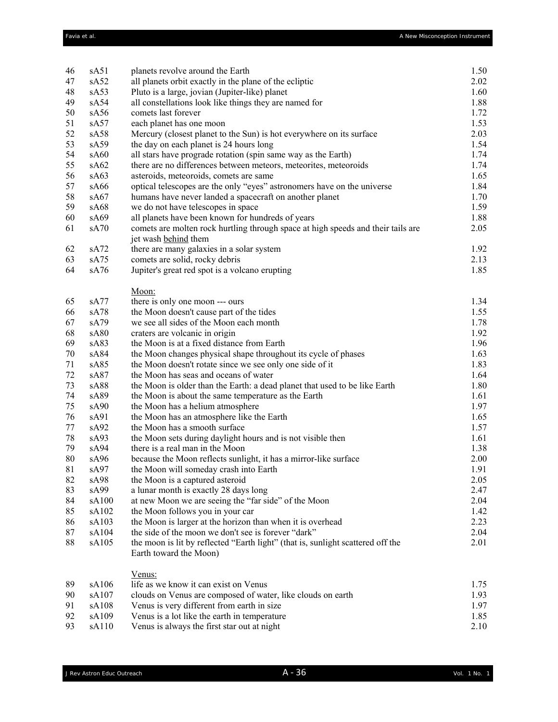| 46     | sA51             | planets revolve around the Earth                                                                          | 1.50 |
|--------|------------------|-----------------------------------------------------------------------------------------------------------|------|
| 47     | sA52             | all planets orbit exactly in the plane of the ecliptic                                                    | 2.02 |
| 48     | sA53             | Pluto is a large, jovian (Jupiter-like) planet                                                            | 1.60 |
| 49     | sA54             | all constellations look like things they are named for                                                    | 1.88 |
| 50     | sA56             | comets last forever                                                                                       | 1.72 |
| 51     | sA57             | each planet has one moon                                                                                  | 1.53 |
| 52     | sA58             | Mercury (closest planet to the Sun) is hot everywhere on its surface                                      | 2.03 |
| 53     | sA59             | the day on each planet is 24 hours long                                                                   | 1.54 |
| 54     | sA60             | all stars have prograde rotation (spin same way as the Earth)                                             | 1.74 |
| 55     | sA62             | there are no differences between meteors, meteorites, meteoroids                                          | 1.74 |
| 56     | sA63             | asteroids, meteoroids, comets are same                                                                    | 1.65 |
| 57     | sA66             | optical telescopes are the only "eyes" astronomers have on the universe                                   | 1.84 |
| 58     | sA67             | humans have never landed a spacecraft on another planet                                                   | 1.70 |
| 59     | sA68             | we do not have telescopes in space                                                                        | 1.59 |
| 60     | sA69             | all planets have been known for hundreds of years                                                         | 1.88 |
| 61     | sA70             | comets are molten rock hurtling through space at high speeds and their tails are                          | 2.05 |
|        |                  | jet wash behind them                                                                                      |      |
| 62     | sA72             | there are many galaxies in a solar system                                                                 | 1.92 |
| 63     | sA75             | comets are solid, rocky debris                                                                            | 2.13 |
| 64     | sA76             | Jupiter's great red spot is a volcano erupting                                                            | 1.85 |
|        |                  | Moon:                                                                                                     |      |
| 65     | sA77             | there is only one moon --- ours                                                                           | 1.34 |
| 66     | sA78             | the Moon doesn't cause part of the tides                                                                  | 1.55 |
| 67     | sA79             | we see all sides of the Moon each month                                                                   | 1.78 |
| 68     | sA80             | craters are volcanic in origin                                                                            | 1.92 |
| 69     | sA83             | the Moon is at a fixed distance from Earth                                                                | 1.96 |
| 70     | sA84             | the Moon changes physical shape throughout its cycle of phases                                            | 1.63 |
| 71     | sA85             | the Moon doesn't rotate since we see only one side of it                                                  | 1.83 |
| 72     | sA87             | the Moon has seas and oceans of water                                                                     | 1.64 |
| 73     | sA88             | the Moon is older than the Earth: a dead planet that used to be like Earth                                | 1.80 |
| 74     | sA89             | the Moon is about the same temperature as the Earth                                                       | 1.61 |
| 75     | sA <sub>90</sub> | the Moon has a helium atmosphere                                                                          | 1.97 |
| 76     | sA91             | the Moon has an atmosphere like the Earth                                                                 | 1.65 |
| 77     | SA92             | the Moon has a smooth surface                                                                             | 1.57 |
| 78     | sA93             | the Moon sets during daylight hours and is not visible then                                               | 1.61 |
| 79     | sA94             | there is a real man in the Moon                                                                           | 1.38 |
| 80     | sA <sub>96</sub> | because the Moon reflects sunlight, it has a mirror-like surface                                          | 2.00 |
| $81\,$ | sA97             | the Moon will someday crash into Earth                                                                    | 1.91 |
| 82     | sA98             | the Moon is a captured asteroid                                                                           | 2.05 |
| 83     | sA99             | a lunar month is exactly 28 days long                                                                     | 2.47 |
| 84     | sA100            | at new Moon we are seeing the "far side" of the Moon                                                      | 2.04 |
| 85     | sA102            | the Moon follows you in your car                                                                          | 1.42 |
| 86     | sA103            | the Moon is larger at the horizon than when it is overhead                                                | 2.23 |
| 87     | sA104            | the side of the moon we don't see is forever "dark"                                                       | 2.04 |
| 88     | sA105            | the moon is lit by reflected "Earth light" (that is, sunlight scattered off the<br>Earth toward the Moon) | 2.01 |
|        |                  | Venus:                                                                                                    |      |
| 89     | sA106            | life as we know it can exist on Venus                                                                     | 1.75 |
| 90     | sA107            | clouds on Venus are composed of water, like clouds on earth                                               | 1.93 |
| 91     | sA108            | Venus is very different from earth in size                                                                | 1.97 |
| 92     | sA109            | Venus is a lot like the earth in temperature                                                              | 1.85 |
| 93     | sA110            | Venus is always the first star out at night                                                               | 2.10 |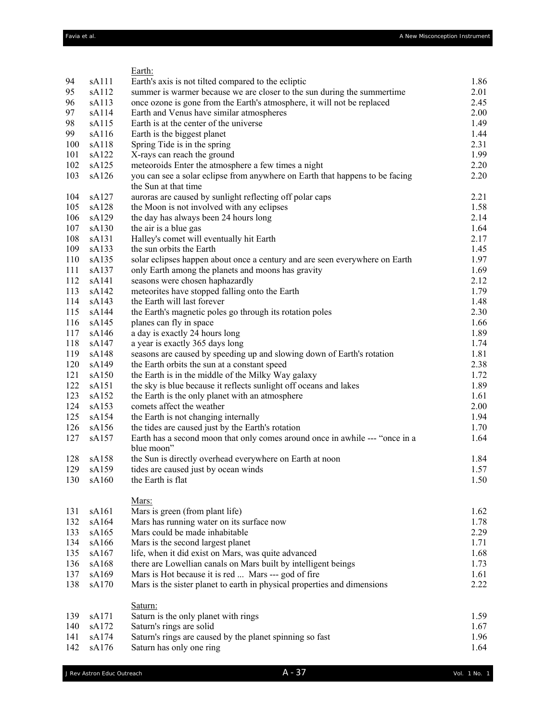|     |       | Earth:                                                                                     |      |
|-----|-------|--------------------------------------------------------------------------------------------|------|
| 94  | sA111 | Earth's axis is not tilted compared to the ecliptic                                        | 1.86 |
| 95  | sA112 | summer is warmer because we are closer to the sun during the summertime                    | 2.01 |
| 96  | sA113 | once ozone is gone from the Earth's atmosphere, it will not be replaced                    | 2.45 |
| 97  | sA114 | Earth and Venus have similar atmospheres                                                   | 2.00 |
| 98  | sA115 | Earth is at the center of the universe                                                     | 1.49 |
| 99  | sA116 | Earth is the biggest planet                                                                | 1.44 |
| 100 | sA118 | Spring Tide is in the spring                                                               | 2.31 |
| 101 | sA122 | X-rays can reach the ground                                                                | 1.99 |
| 102 | sA125 | meteoroids Enter the atmosphere a few times a night                                        | 2.20 |
| 103 | sA126 | you can see a solar eclipse from anywhere on Earth that happens to be facing               | 2.20 |
|     |       | the Sun at that time                                                                       |      |
| 104 | sA127 | auroras are caused by sunlight reflecting off polar caps                                   | 2.21 |
| 105 | sA128 | the Moon is not involved with any eclipses                                                 | 1.58 |
| 106 | sA129 | the day has always been 24 hours long                                                      | 2.14 |
| 107 | sA130 | the air is a blue gas                                                                      | 1.64 |
| 108 | sA131 | Halley's comet will eventually hit Earth                                                   | 2.17 |
| 109 | sA133 | the sun orbits the Earth                                                                   | 1.45 |
| 110 | sA135 | solar eclipses happen about once a century and are seen everywhere on Earth                | 1.97 |
| 111 | sA137 | only Earth among the planets and moons has gravity                                         | 1.69 |
| 112 | sA141 | seasons were chosen haphazardly                                                            | 2.12 |
| 113 | sA142 | meteorites have stopped falling onto the Earth                                             | 1.79 |
| 114 | sA143 | the Earth will last forever                                                                | 1.48 |
| 115 | sA144 | the Earth's magnetic poles go through its rotation poles                                   | 2.30 |
| 116 | sA145 | planes can fly in space                                                                    | 1.66 |
| 117 | sA146 | a day is exactly 24 hours long                                                             | 1.89 |
| 118 | sA147 | a year is exactly 365 days long                                                            | 1.74 |
| 119 | sA148 | seasons are caused by speeding up and slowing down of Earth's rotation                     | 1.81 |
| 120 | sA149 | the Earth orbits the sun at a constant speed                                               | 2.38 |
| 121 | sA150 | the Earth is in the middle of the Milky Way galaxy                                         | 1.72 |
| 122 | sA151 | the sky is blue because it reflects sunlight off oceans and lakes                          | 1.89 |
| 123 | sA152 | the Earth is the only planet with an atmosphere                                            | 1.61 |
| 124 | sA153 | comets affect the weather                                                                  | 2.00 |
| 125 | sA154 | the Earth is not changing internally                                                       | 1.94 |
| 126 | sA156 | the tides are caused just by the Earth's rotation                                          | 1.70 |
| 127 | sA157 | Earth has a second moon that only comes around once in awhile --- "once in a<br>blue moon" | 1.64 |
| 128 | sA158 | the Sun is directly overhead everywhere on Earth at noon                                   | 1.84 |
| 129 | sA159 | tides are caused just by ocean winds                                                       | 1.57 |
| 130 | sA160 | the Earth is flat                                                                          | 1.50 |
|     |       | Mars:                                                                                      |      |
| 131 | sA161 | Mars is green (from plant life)                                                            | 1.62 |
| 132 | sA164 | Mars has running water on its surface now                                                  | 1.78 |
| 133 | sA165 | Mars could be made inhabitable                                                             | 2.29 |
| 134 | sA166 | Mars is the second largest planet                                                          | 1.71 |
| 135 | sA167 | life, when it did exist on Mars, was quite advanced                                        | 1.68 |
| 136 | sA168 | there are Lowellian canals on Mars built by intelligent beings                             | 1.73 |
| 137 | sA169 | Mars is Hot because it is red  Mars --- god of fire                                        | 1.61 |
| 138 | sA170 | Mars is the sister planet to earth in physical properties and dimensions                   | 2.22 |
| 139 | sA171 | Saturn:<br>Saturn is the only planet with rings                                            | 1.59 |
| 140 | sA172 | Saturn's rings are solid                                                                   | 1.67 |
| 141 | sA174 | Saturn's rings are caused by the planet spinning so fast                                   | 1.96 |
| 142 | sA176 | Saturn has only one ring                                                                   | 1.64 |
|     |       |                                                                                            |      |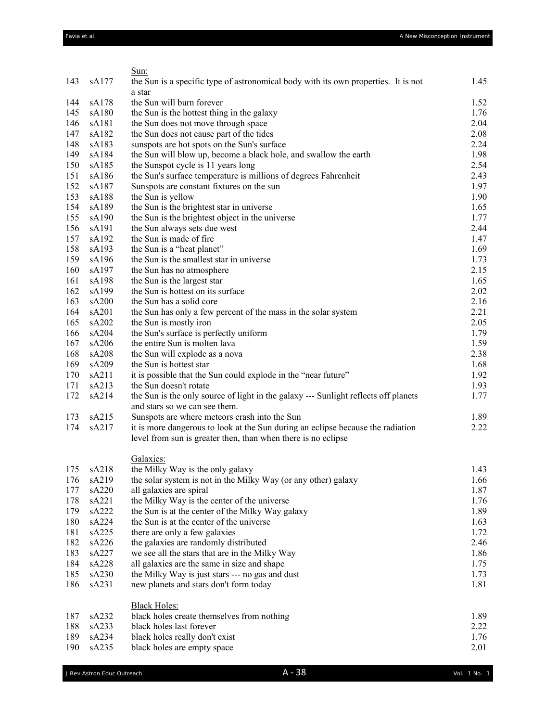|     |       | Sun:                                                                                |      |
|-----|-------|-------------------------------------------------------------------------------------|------|
| 143 | sA177 | the Sun is a specific type of astronomical body with its own properties. It is not  | 1.45 |
|     |       | a star                                                                              |      |
| 144 | sA178 | the Sun will burn forever                                                           | 1.52 |
| 145 | sA180 | the Sun is the hottest thing in the galaxy                                          | 1.76 |
| 146 | sA181 | the Sun does not move through space                                                 | 2.04 |
| 147 | sA182 | the Sun does not cause part of the tides                                            | 2.08 |
| 148 | sA183 | sunspots are hot spots on the Sun's surface                                         | 2.24 |
| 149 | sA184 | the Sun will blow up, become a black hole, and swallow the earth                    | 1.98 |
| 150 | sA185 | the Sunspot cycle is 11 years long                                                  | 2.54 |
| 151 | sA186 | the Sun's surface temperature is millions of degrees Fahrenheit                     | 2.43 |
| 152 | sA187 | Sunspots are constant fixtures on the sun                                           | 1.97 |
| 153 | sA188 | the Sun is yellow                                                                   | 1.90 |
| 154 | sA189 | the Sun is the brightest star in universe                                           | 1.65 |
| 155 | sA190 | the Sun is the brightest object in the universe                                     | 1.77 |
| 156 | sA191 | the Sun always sets due west                                                        | 2.44 |
| 157 | sA192 | the Sun is made of fire                                                             | 1.47 |
| 158 | sA193 | the Sun is a "heat planet"                                                          | 1.69 |
| 159 | sA196 | the Sun is the smallest star in universe                                            | 1.73 |
| 160 | sA197 | the Sun has no atmosphere                                                           | 2.15 |
| 161 | sA198 | the Sun is the largest star                                                         | 1.65 |
| 162 | sA199 | the Sun is hottest on its surface                                                   | 2.02 |
| 163 | sA200 | the Sun has a solid core                                                            | 2.16 |
| 164 | sA201 | the Sun has only a few percent of the mass in the solar system                      | 2.21 |
| 165 | sA202 | the Sun is mostly iron                                                              | 2.05 |
| 166 | sA204 | the Sun's surface is perfectly uniform                                              | 1.79 |
| 167 | sA206 | the entire Sun is molten lava                                                       | 1.59 |
| 168 | sA208 | the Sun will explode as a nova                                                      | 2.38 |
| 169 | sA209 | the Sun is hottest star                                                             | 1.68 |
| 170 | sA211 | it is possible that the Sun could explode in the "near future"                      | 1.92 |
| 171 | sA213 | the Sun doesn't rotate                                                              | 1.93 |
| 172 | sA214 | the Sun is the only source of light in the galaxy --- Sunlight reflects off planets | 1.77 |
|     |       | and stars so we can see them.                                                       |      |
| 173 | sA215 | Sunspots are where meteors crash into the Sun                                       | 1.89 |
| 174 | sA217 | it is more dangerous to look at the Sun during an eclipse because the radiation     | 2.22 |
|     |       | level from sun is greater then, than when there is no eclipse                       |      |
|     |       | Galaxies:                                                                           |      |
| 175 | sA218 | the Milky Way is the only galaxy                                                    | 1.43 |
| 176 | sA219 | the solar system is not in the Milky Way (or any other) galaxy                      | 1.66 |
| 177 | sA220 | all galaxies are spiral                                                             | 1.87 |
| 178 | sA221 | the Milky Way is the center of the universe                                         | 1.76 |
| 179 | sA222 | the Sun is at the center of the Milky Way galaxy                                    | 1.89 |
| 180 | sA224 | the Sun is at the center of the universe                                            | 1.63 |
| 181 | sA225 | there are only a few galaxies                                                       | 1.72 |
| 182 | sA226 | the galaxies are randomly distributed                                               | 2.46 |
| 183 | sA227 | we see all the stars that are in the Milky Way                                      | 1.86 |
| 184 | sA228 | all galaxies are the same in size and shape                                         | 1.75 |
| 185 | sA230 | the Milky Way is just stars --- no gas and dust                                     | 1.73 |
| 186 | sA231 | new planets and stars don't form today                                              | 1.81 |
|     |       | <b>Black Holes:</b>                                                                 |      |
| 187 | sA232 | black holes create themselves from nothing                                          | 1.89 |
| 188 | sA233 | black holes last forever                                                            | 2.22 |
| 189 | sA234 | black holes really don't exist                                                      | 1.76 |
| 190 | sA235 | black holes are empty space                                                         | 2.01 |
|     |       |                                                                                     |      |